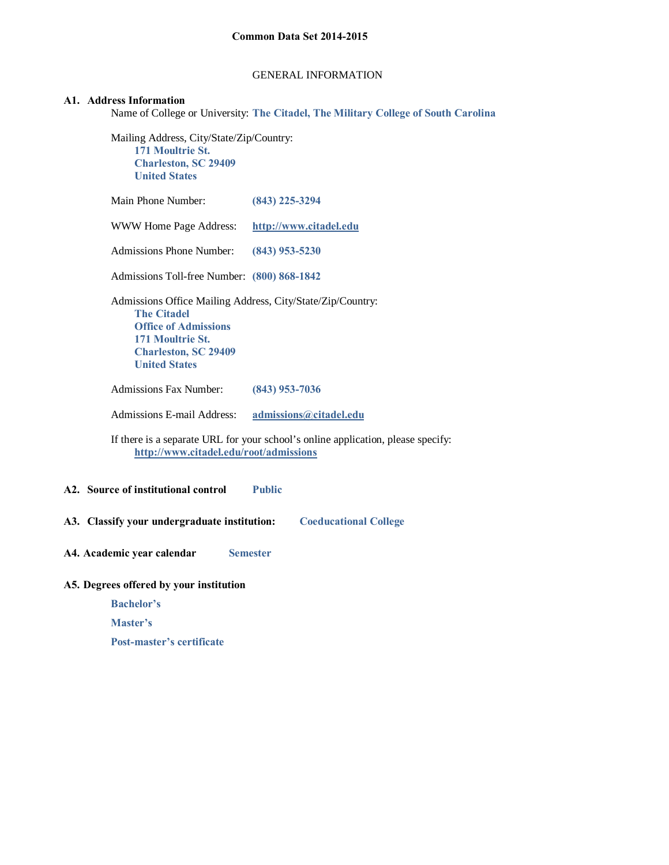### GENERAL INFORMATION

### **A1. Address Information**

Name of College or University: **The Citadel, The Military College of South Carolina**

Mailing Address, City/State/Zip/Country: **171 Moultrie St. Charleston, SC 29409 United States**

| A2. Source of institutional control                                                                                                                                                        | <b>Public</b>                                                                    |
|--------------------------------------------------------------------------------------------------------------------------------------------------------------------------------------------|----------------------------------------------------------------------------------|
|                                                                                                                                                                                            |                                                                                  |
| http://www.citadel.edu/root/admissions                                                                                                                                                     | If there is a separate URL for your school's online application, please specify: |
| Admissions E-mail Address:                                                                                                                                                                 | admissions@citadel.edu                                                           |
| <b>Admissions Fax Number:</b>                                                                                                                                                              | $(843)$ 953-7036                                                                 |
| Admissions Office Mailing Address, City/State/Zip/Country:<br><b>The Citadel</b><br><b>Office of Admissions</b><br>171 Moultrie St.<br><b>Charleston, SC 29409</b><br><b>United States</b> |                                                                                  |
| Admissions Toll-free Number: (800) 868-1842                                                                                                                                                |                                                                                  |
| <b>Admissions Phone Number:</b>                                                                                                                                                            | $(843)$ 953-5230                                                                 |
| WWW Home Page Address:                                                                                                                                                                     | http://www.citadel.edu                                                           |
| Main Phone Number:                                                                                                                                                                         | $(843)$ 225-3294                                                                 |

**A4. Academic year calendar Semester**

# **A5. Degrees offered by your institution**

 **Bachelor's**

 **Master's** 

 **Post-master's certificate**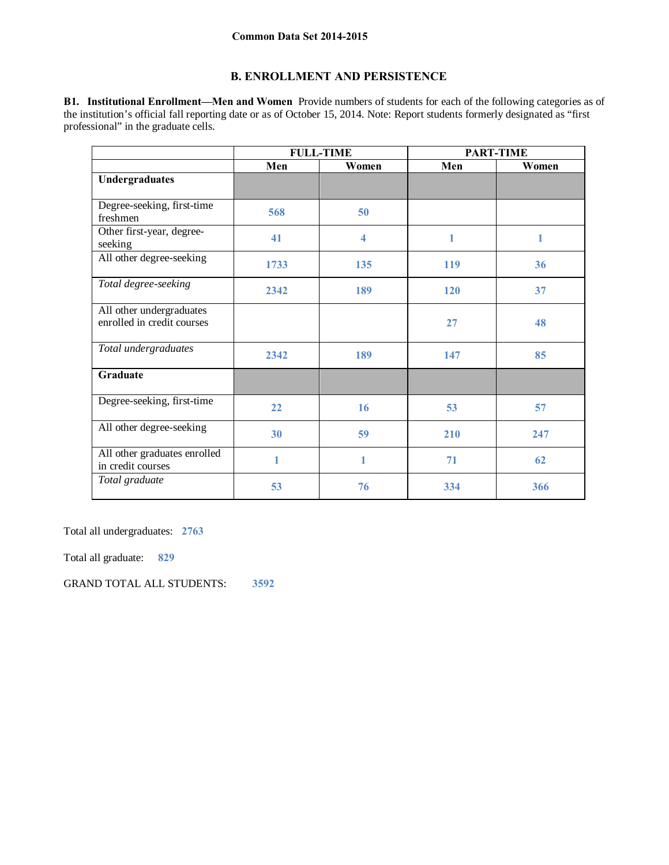# **B. ENROLLMENT AND PERSISTENCE**

**B1. Institutional Enrollment—Men and Women** Provide numbers of students for each of the following categories as of the institution's official fall reporting date or as of October 15, 2014. Note: Report students formerly designated as "first professional" in the graduate cells.

|                                                        | <b>FULL-TIME</b> |       |     | <b>PART-TIME</b> |
|--------------------------------------------------------|------------------|-------|-----|------------------|
|                                                        | Men              | Women | Men | Women            |
| Undergraduates                                         |                  |       |     |                  |
| Degree-seeking, first-time<br>freshmen                 | 568              | 50    |     |                  |
| Other first-year, degree-<br>seeking                   | 41               | 4     | 1   | 1                |
| All other degree-seeking                               | 1733             | 135   | 119 | 36               |
| Total degree-seeking                                   | 2342             | 189   | 120 | 37               |
| All other undergraduates<br>enrolled in credit courses |                  |       | 27  | 48               |
| Total undergraduates                                   | 2342             | 189   | 147 | 85               |
| Graduate                                               |                  |       |     |                  |
| Degree-seeking, first-time                             | 22               | 16    | 53  | 57               |
| All other degree-seeking                               | 30               | 59    | 210 | 247              |
| All other graduates enrolled<br>in credit courses      | 1                | 1     | 71  | 62               |
| Total graduate                                         | 53               | 76    | 334 | 366              |

Total all undergraduates: **2763** 

Total all graduate: **829** 

GRAND TOTAL ALL STUDENTS: **3592**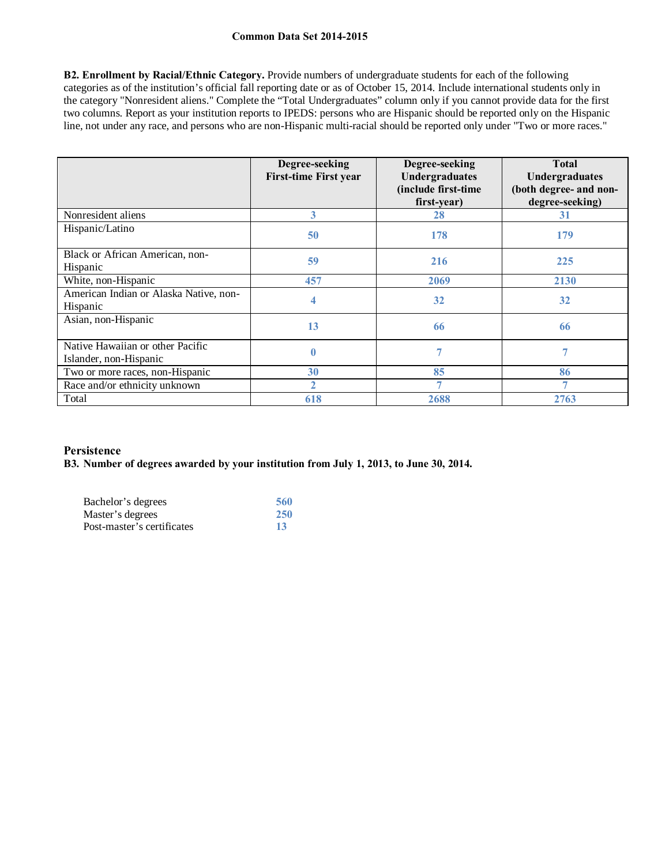**B2. Enrollment by Racial/Ethnic Category.** Provide numbers of undergraduate students for each of the following categories as of the institution's official fall reporting date or as of October 15, 2014. Include international students only in the category "Nonresident aliens." Complete the "Total Undergraduates" column only if you cannot provide data for the first two columns. Report as your institution reports to IPEDS: persons who are Hispanic should be reported only on the Hispanic line, not under any race, and persons who are non-Hispanic multi-racial should be reported only under "Two or more races."

|                                                            | Degree-seeking<br><b>First-time First year</b> | Degree-seeking<br><b>Undergraduates</b><br>(include first-time<br>first-year) | <b>Total</b><br><b>Undergraduates</b><br>(both degree- and non-<br>degree-seeking) |
|------------------------------------------------------------|------------------------------------------------|-------------------------------------------------------------------------------|------------------------------------------------------------------------------------|
| Nonresident aliens                                         | 3                                              | 28                                                                            | 31                                                                                 |
| Hispanic/Latino                                            | 50                                             | 178                                                                           | 179                                                                                |
| Black or African American, non-<br>Hispanic                | 59                                             | 216                                                                           | 225                                                                                |
| White, non-Hispanic                                        | 457                                            | 2069                                                                          | 2130                                                                               |
| American Indian or Alaska Native, non-<br>Hispanic         | 4                                              | 32                                                                            | 32                                                                                 |
| Asian, non-Hispanic                                        | 13                                             | 66                                                                            | 66                                                                                 |
| Native Hawaiian or other Pacific<br>Islander, non-Hispanic |                                                |                                                                               | 7                                                                                  |
| Two or more races, non-Hispanic                            | 30                                             | 85                                                                            | 86                                                                                 |
| Race and/or ethnicity unknown                              | $\overline{2}$                                 |                                                                               | $\overline{7}$                                                                     |
| Total                                                      | 618                                            | 2688                                                                          | 2763                                                                               |

# **Persistence**

## **B3. Number of degrees awarded by your institution from July 1, 2013, to June 30, 2014.**

| Bachelor's degrees         | 560        |
|----------------------------|------------|
| Master's degrees           | <b>250</b> |
| Post-master's certificates | -13        |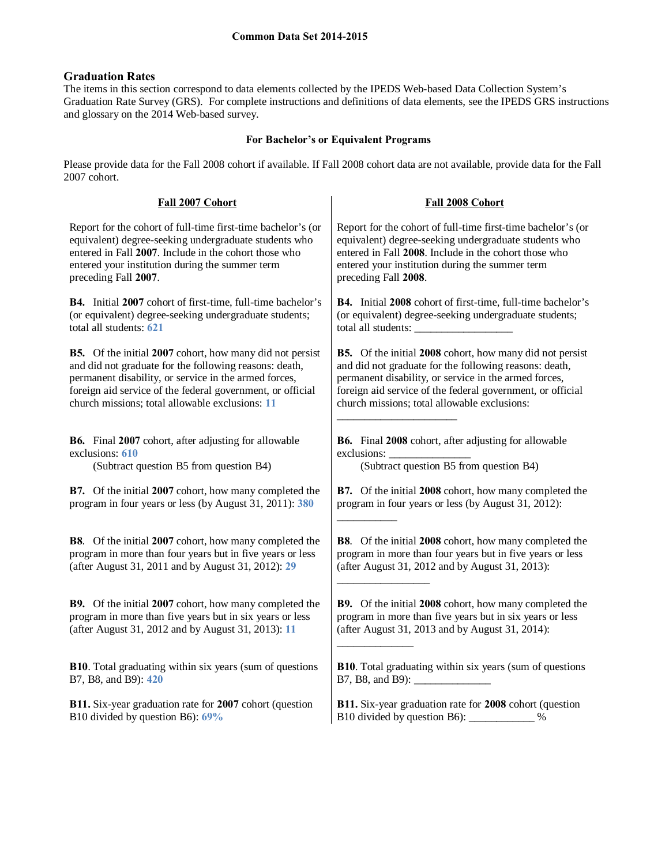# **Graduation Rates**

The items in this section correspond to data elements collected by the IPEDS Web-based Data Collection System's Graduation Rate Survey (GRS). For complete instructions and definitions of data elements, see the IPEDS GRS instructions and glossary on the 2014 Web-based survey.

# **For Bachelor's or Equivalent Programs**

Please provide data for the Fall 2008 cohort if available. If Fall 2008 cohort data are not available, provide data for the Fall 2007 cohort.

| Fall 2007 Cohort                                                   | Fall 2008 Cohort                                                |
|--------------------------------------------------------------------|-----------------------------------------------------------------|
| Report for the cohort of full-time first-time bachelor's (or       | Report for the cohort of full-time first-time bachelor's (or    |
| equivalent) degree-seeking undergraduate students who              | equivalent) degree-seeking undergraduate students who           |
| entered in Fall 2007. Include in the cohort those who              | entered in Fall 2008. Include in the cohort those who           |
| entered your institution during the summer term                    | entered your institution during the summer term                 |
| preceding Fall 2007.                                               | preceding Fall 2008.                                            |
| <b>B4.</b> Initial 2007 cohort of first-time, full-time bachelor's | B4. Initial 2008 cohort of first-time, full-time bachelor's     |
| (or equivalent) degree-seeking undergraduate students;             | (or equivalent) degree-seeking undergraduate students;          |
| total all students: 621                                            |                                                                 |
| <b>B5.</b> Of the initial 2007 cohort, how many did not persist    | <b>B5.</b> Of the initial 2008 cohort, how many did not persist |
| and did not graduate for the following reasons: death,             | and did not graduate for the following reasons: death,          |
| permanent disability, or service in the armed forces,              | permanent disability, or service in the armed forces,           |
| foreign aid service of the federal government, or official         | foreign aid service of the federal government, or official      |
| church missions; total allowable exclusions: 11                    | church missions; total allowable exclusions:                    |
| <b>B6.</b> Final 2007 cohort, after adjusting for allowable        | B6. Final 2008 cohort, after adjusting for allowable            |
| exclusions: 610                                                    | exclusions:                                                     |
| (Subtract question B5 from question B4)                            | (Subtract question B5 from question B4)                         |
| <b>B7.</b> Of the initial 2007 cohort, how many completed the      | <b>B7.</b> Of the initial 2008 cohort, how many completed the   |
| program in four years or less (by August 31, 2011): 380            | program in four years or less (by August 31, 2012):             |
| <b>B8.</b> Of the initial 2007 cohort, how many completed the      | <b>B8.</b> Of the initial 2008 cohort, how many completed the   |
| program in more than four years but in five years or less          | program in more than four years but in five years or less       |
| (after August 31, 2011 and by August 31, 2012): 29                 | (after August 31, 2012 and by August 31, 2013):                 |
| <b>B9.</b> Of the initial 2007 cohort, how many completed the      | <b>B9.</b> Of the initial 2008 cohort, how many completed the   |
| program in more than five years but in six years or less           | program in more than five years but in six years or less        |
| (after August 31, 2012 and by August 31, 2013): 11                 | (after August 31, 2013 and by August 31, 2014):                 |
| B10. Total graduating within six years (sum of questions           | <b>B10.</b> Total graduating within six years (sum of questions |
| B7, B8, and B9): 420                                               |                                                                 |
| B11. Six-year graduation rate for 2007 cohort (question            | B11. Six-year graduation rate for 2008 cohort (question         |
| B10 divided by question B6): 69%                                   | B10 divided by question B6): _____________ %                    |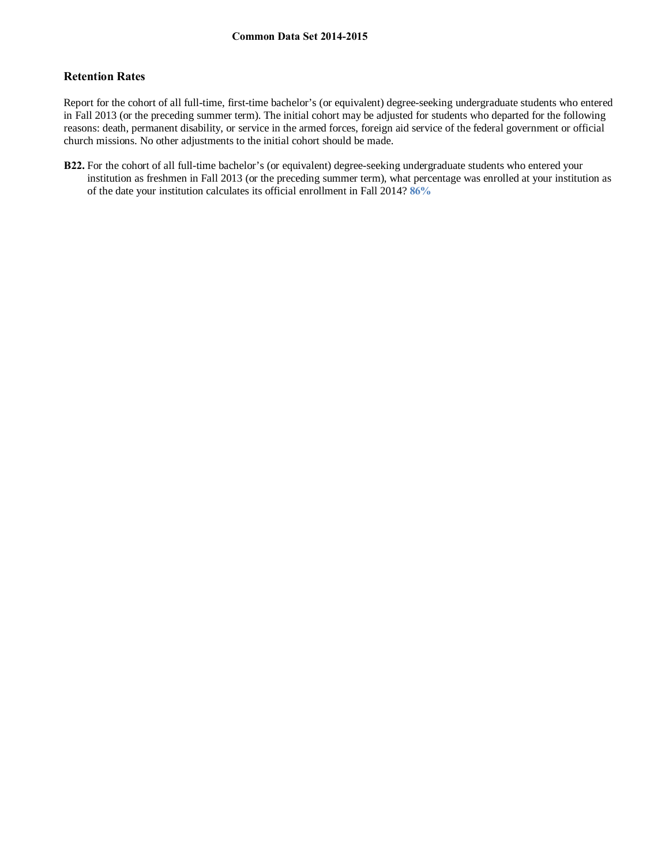# **Retention Rates**

Report for the cohort of all full-time, first-time bachelor's (or equivalent) degree-seeking undergraduate students who entered in Fall 2013 (or the preceding summer term). The initial cohort may be adjusted for students who departed for the following reasons: death, permanent disability, or service in the armed forces, foreign aid service of the federal government or official church missions. No other adjustments to the initial cohort should be made.

**B22.** For the cohort of all full-time bachelor's (or equivalent) degree-seeking undergraduate students who entered your institution as freshmen in Fall 2013 (or the preceding summer term), what percentage was enrolled at your institution as of the date your institution calculates its official enrollment in Fall 2014? **86%**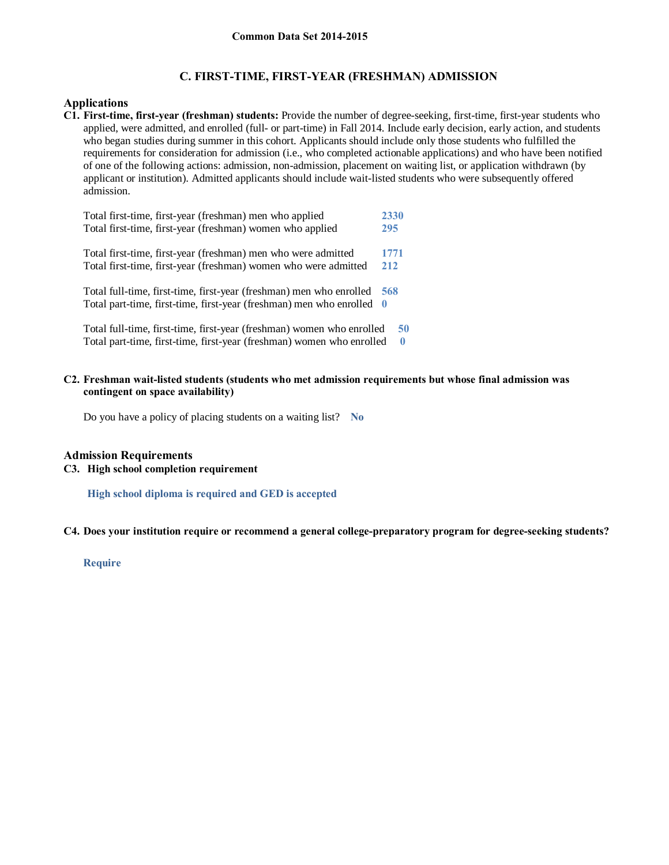# **C. FIRST-TIME, FIRST-YEAR (FRESHMAN) ADMISSION**

# **Applications**

**C1. First-time, first-year (freshman) students:** Provide the number of degree-seeking, first-time, first-year students who applied, were admitted, and enrolled (full- or part-time) in Fall 2014. Include early decision, early action, and students who began studies during summer in this cohort. Applicants should include only those students who fulfilled the requirements for consideration for admission (i.e., who completed actionable applications) and who have been notified of one of the following actions: admission, non-admission, placement on waiting list, or application withdrawn (by applicant or institution). Admitted applicants should include wait-listed students who were subsequently offered admission.

| Total first-time, first-year (freshman) men who applied               | 2330     |
|-----------------------------------------------------------------------|----------|
| Total first-time, first-year (freshman) women who applied             | 295      |
|                                                                       |          |
| Total first-time, first-year (freshman) men who were admitted         | 1771     |
| Total first-time, first-year (freshman) women who were admitted       | 212      |
|                                                                       |          |
| Total full-time, first-time, first-year (freshman) men who enrolled   | 568      |
| Total part-time, first-time, first-year (freshman) men who enrolled 0 |          |
|                                                                       |          |
| Total full-time, first-time, first-year (freshman) women who enrolled | 50       |
| Total part-time, first-time, first-year (freshman) women who enrolled | $\bf{0}$ |

### **C2. Freshman wait-listed students (students who met admission requirements but whose final admission was contingent on space availability)**

Do you have a policy of placing students on a waiting list? **No**

## **Admission Requirements**

# **C3. High school completion requirement**

**High school diploma is required and GED is accepted**

**C4. Does your institution require or recommend a general college-preparatory program for degree-seeking students?**

**Require**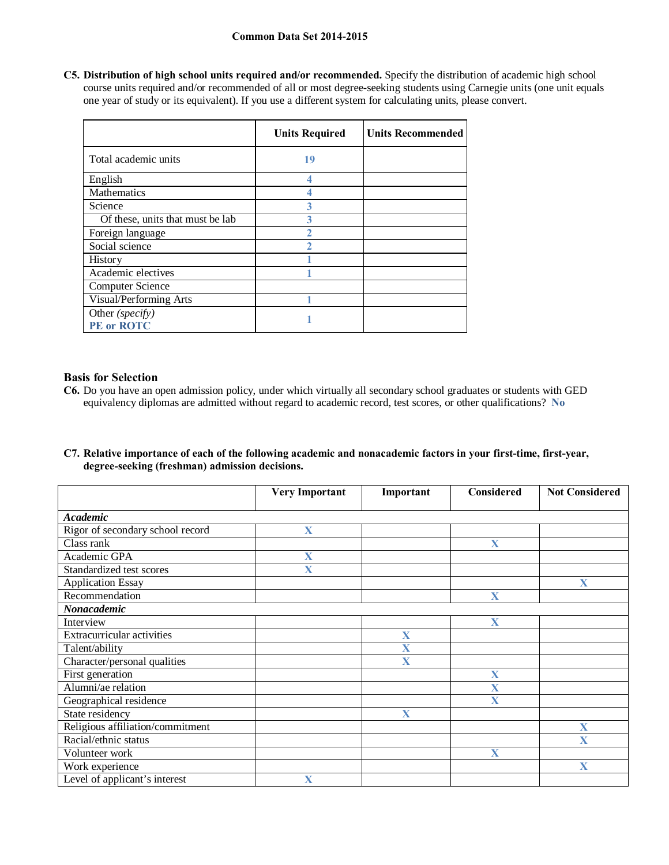**C5. Distribution of high school units required and/or recommended.** Specify the distribution of academic high school course units required and/or recommended of all or most degree-seeking students using Carnegie units (one unit equals one year of study or its equivalent). If you use a different system for calculating units, please convert.

|                                  | <b>Units Required</b> | <b>Units Recommended</b> |
|----------------------------------|-----------------------|--------------------------|
| Total academic units             | 19                    |                          |
| English                          |                       |                          |
| Mathematics                      |                       |                          |
| Science                          |                       |                          |
| Of these, units that must be lab |                       |                          |
| Foreign language                 |                       |                          |
| Social science                   |                       |                          |
| <b>History</b>                   |                       |                          |
| Academic electives               |                       |                          |
| <b>Computer Science</b>          |                       |                          |
| Visual/Performing Arts           |                       |                          |
| Other (specify)<br>PE or ROTC    |                       |                          |

# **Basis for Selection**

- **C6.** Do you have an open admission policy, under which virtually all secondary school graduates or students with GED equivalency diplomas are admitted without regard to academic record, test scores, or other qualifications? **No**
- **C7. Relative importance of each of the following academic and nonacademic factors in your first-time, first-year, degree-seeking (freshman) admission decisions.**

|                                  | <b>Very Important</b> | Important               | Considered              | <b>Not Considered</b>   |
|----------------------------------|-----------------------|-------------------------|-------------------------|-------------------------|
|                                  |                       |                         |                         |                         |
| <b>Academic</b>                  |                       |                         |                         |                         |
| Rigor of secondary school record | X                     |                         |                         |                         |
| Class rank                       |                       |                         | $\mathbf{X}$            |                         |
| Academic GPA                     | X                     |                         |                         |                         |
| Standardized test scores         | X                     |                         |                         |                         |
| <b>Application Essay</b>         |                       |                         |                         | $\mathbf{X}$            |
| Recommendation                   |                       |                         | $\mathbf X$             |                         |
| Nonacademic                      |                       |                         |                         |                         |
| Interview                        |                       |                         | $\mathbf X$             |                         |
| Extracurricular activities       |                       | X                       |                         |                         |
| Talent/ability                   |                       | $\overline{\mathbf{X}}$ |                         |                         |
| Character/personal qualities     |                       | X                       |                         |                         |
| First generation                 |                       |                         | $\mathbf X$             |                         |
| Alumni/ae relation               |                       |                         | $\overline{\mathbf{X}}$ |                         |
| Geographical residence           |                       |                         | $\mathbf X$             |                         |
| State residency                  |                       | X                       |                         |                         |
| Religious affiliation/commitment |                       |                         |                         | X                       |
| Racial/ethnic status             |                       |                         |                         | $\overline{\mathbf{X}}$ |
| Volunteer work                   |                       |                         | $\mathbf{X}$            |                         |
| Work experience                  |                       |                         |                         | X                       |
| Level of applicant's interest    | X                     |                         |                         |                         |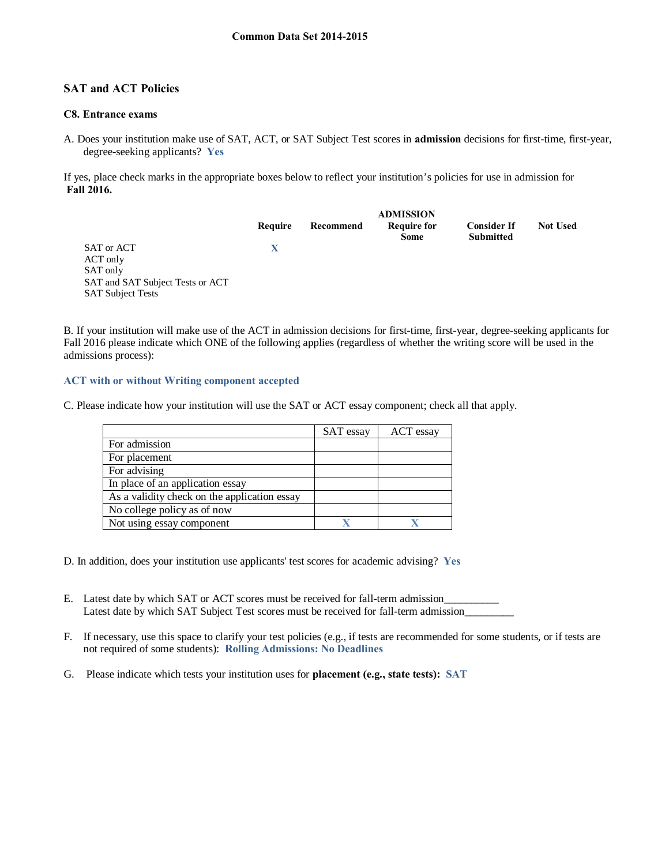# **SAT and ACT Policies**

## **C8. Entrance exams**

A. Does your institution make use of SAT, ACT, or SAT Subject Test scores in **admission** decisions for first-time, first-year, degree-seeking applicants? **Yes**

If yes, place check marks in the appropriate boxes below to reflect your institution's policies for use in admission for **Fall 2016.** 

|                                                                                                    | Require | Recommend | <b>ADMISSION</b><br><b>Require for</b><br><b>Some</b> | <b>Consider If</b><br><b>Submitted</b> | <b>Not Used</b> |
|----------------------------------------------------------------------------------------------------|---------|-----------|-------------------------------------------------------|----------------------------------------|-----------------|
| SAT or ACT<br>ACT only<br>SAT only<br>SAT and SAT Subject Tests or ACT<br><b>SAT Subject Tests</b> | X       |           |                                                       |                                        |                 |

B. If your institution will make use of the ACT in admission decisions for first-time, first-year, degree-seeking applicants for Fall 2016 please indicate which ONE of the following applies (regardless of whether the writing score will be used in the admissions process):

### **ACT with or without Writing component accepted**

C. Please indicate how your institution will use the SAT or ACT essay component; check all that apply.

|                                              | SAT essay | ACT essay |
|----------------------------------------------|-----------|-----------|
| For admission                                |           |           |
| For placement                                |           |           |
| For advising                                 |           |           |
| In place of an application essay             |           |           |
| As a validity check on the application essay |           |           |
| No college policy as of now                  |           |           |
| Not using essay component                    |           |           |

- D. In addition, does your institution use applicants' test scores for academic advising? **Yes**
- E. Latest date by which SAT or ACT scores must be received for fall-term admission Latest date by which SAT Subject Test scores must be received for fall-term admission
- F. If necessary, use this space to clarify your test policies (e.g., if tests are recommended for some students, or if tests are not required of some students): **Rolling Admissions: No Deadlines**
- G. Please indicate which tests your institution uses for **placement (e.g., state tests): SAT**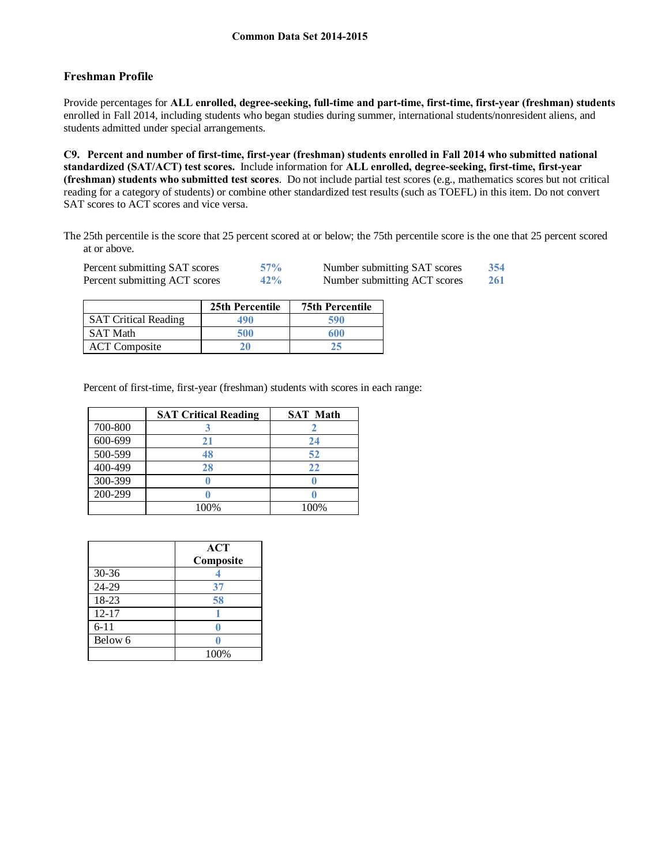# **Freshman Profile**

Provide percentages for **ALL enrolled, degree-seeking, full-time and part-time, first-time, first-year (freshman) students**  enrolled in Fall 2014, including students who began studies during summer, international students/nonresident aliens, and students admitted under special arrangements.

**C9. Percent and number of first-time, first-year (freshman) students enrolled in Fall 2014 who submitted national standardized (SAT/ACT) test scores.** Include information for **ALL enrolled, degree-seeking, first-time, first-year (freshman) students who submitted test scores**. Do not include partial test scores (e.g., mathematics scores but not critical reading for a category of students) or combine other standardized test results (such as TOEFL) in this item. Do not convert SAT scores to ACT scores and vice versa.

The 25th percentile is the score that 25 percent scored at or below; the 75th percentile score is the one that 25 percent scored at or above.

| Percent submitting SAT scores | 57% | Number submitting SAT scores | 354        |
|-------------------------------|-----|------------------------------|------------|
| Percent submitting ACT scores | 42% | Number submitting ACT scores | <b>261</b> |

|                             | 25th Percentile | <b>75th Percentile</b> |
|-----------------------------|-----------------|------------------------|
| <b>SAT Critical Reading</b> | 490             | 590                    |
| <b>SAT Math</b>             | 500             | 600                    |
| <b>ACT</b> Composite        | 20              | 25                     |

Percent of first-time, first-year (freshman) students with scores in each range:

|         | <b>SAT Critical Reading</b> | <b>SAT Math</b> |
|---------|-----------------------------|-----------------|
| 700-800 |                             |                 |
| 600-699 |                             | 24              |
| 500-599 | 48                          | 52              |
| 400-499 | 28                          | 22              |
| 300-399 |                             |                 |
| 200-299 |                             |                 |
|         | 100%                        | 100%            |

|           | <b>ACT</b><br>Composite |
|-----------|-------------------------|
| 30-36     |                         |
| 24-29     | 37                      |
| 18-23     | 58                      |
| $12 - 17$ |                         |
| $6 - 11$  |                         |
| Below 6   |                         |
|           | 100%                    |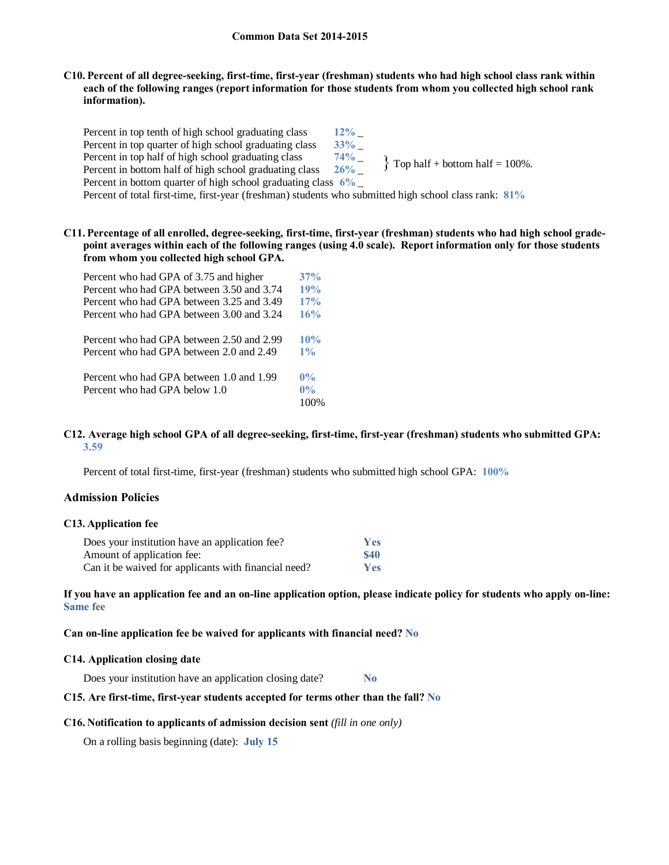### **C10. Percent of all degree-seeking, first-time, first-year (freshman) students who had high school class rank within each of the following ranges (report information for those students from whom you collected high school rank information).**

Percent in top tenth of high school graduating class  $12\%$  \_<br>Percent in top quarter of high school graduating class  $33\%$ Percent in top quarter of high school graduating class  $33\%$  \_<br>Percent in top half of high school graduating class  $74\%$ Percent in top half of high school graduating class Percent in bottom half of high school graduating class **26%** \_ Percent in bottom quarter of high school graduating class **6%** \_  $\{$  Top half + bottom half = 100%.

Percent of total first-time, first-year (freshman) students who submitted high school class rank: **81%**

**C11. Percentage of all enrolled, degree-seeking, first-time, first-year (freshman) students who had high school gradepoint averages within each of the following ranges (using 4.0 scale). Report information only for those students from whom you collected high school GPA.**

| Percent who had GPA of 3.75 and higher    | 37%   |
|-------------------------------------------|-------|
| Percent who had GPA between 3.50 and 3.74 | 19%   |
| Percent who had GPA between 3.25 and 3.49 | 17%   |
| Percent who had GPA between 3.00 and 3.24 | 16%   |
| Percent who had GPA between 2.50 and 2.99 | 10%   |
| Percent who had GPA between 2.0 and 2.49  | 1%    |
| Percent who had GPA between 1.0 and 1.99  | $0\%$ |
| Percent who had GPA below 1.0             | $0\%$ |
|                                           | 100%  |

### **C12. Average high school GPA of all degree-seeking, first-time, first-year (freshman) students who submitted GPA: 3.59**

Percent of total first-time, first-year (freshman) students who submitted high school GPA: **100%**

## **Admission Policies**

### **C13. Application fee**

| Does your institution have an application fee?       | <b>Yes</b>  |
|------------------------------------------------------|-------------|
| Amount of application fee:                           | <b>\$40</b> |
| Can it be waived for applicants with financial need? | <b>Yes</b>  |

**If you have an application fee and an on-line application option, please indicate policy for students who apply on-line: Same fee**

### **Can on-line application fee be waived for applicants with financial need? No**

### **C14. Application closing date**

Does your institution have an application closing date? **No**

### **C15. Are first-time, first-year students accepted for terms other than the fall? No**

### **C16. Notification to applicants of admission decision sent** *(fill in one only)*

On a rolling basis beginning (date): **July 15**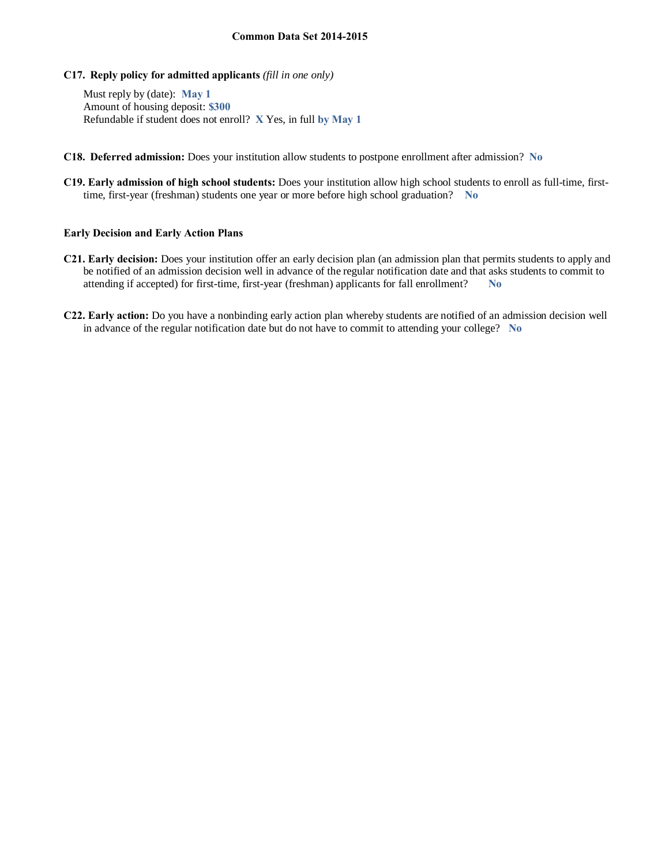**C17. Reply policy for admitted applicants** *(fill in one only)*

Must reply by (date): **May 1** Amount of housing deposit: **\$300** Refundable if student does not enroll? **X** Yes, in full **by May 1**

- **C18. Deferred admission:** Does your institution allow students to postpone enrollment after admission? **No**
- **C19. Early admission of high school students:** Does your institution allow high school students to enroll as full-time, firsttime, first-year (freshman) students one year or more before high school graduation? **No**

### **Early Decision and Early Action Plans**

- **C21. Early decision:** Does your institution offer an early decision plan (an admission plan that permits students to apply and be notified of an admission decision well in advance of the regular notification date and that asks students to commit to attending if accepted) for first-time, first-year (freshman) applicants for fall enrollment? **No**
- **C22. Early action:** Do you have a nonbinding early action plan whereby students are notified of an admission decision well in advance of the regular notification date but do not have to commit to attending your college? **No**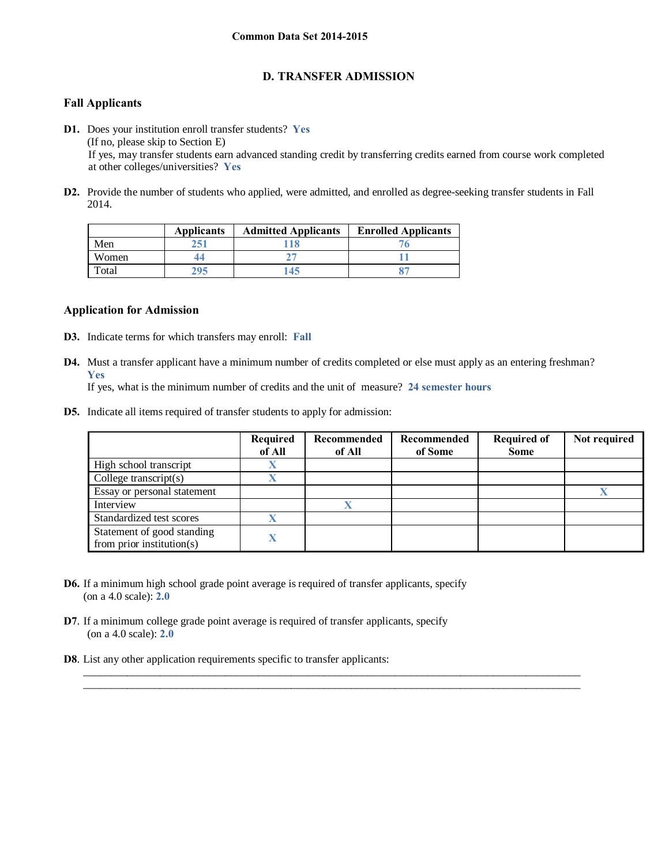# **D. TRANSFER ADMISSION**

# **Fall Applicants**

- **D1.** Does your institution enroll transfer students? **Yes** (If no, please skip to Section E) If yes, may transfer students earn advanced standing credit by transferring credits earned from course work completed at other colleges/universities? **Yes**
- **D2.** Provide the number of students who applied, were admitted, and enrolled as degree-seeking transfer students in Fall 2014.

|       | <b>Applicants</b> | <b>Admitted Applicants</b> | <b>Enrolled Applicants</b> |
|-------|-------------------|----------------------------|----------------------------|
| Men   | 251               |                            |                            |
| Women |                   |                            |                            |
| Total | 295               | 145.                       |                            |

# **Application for Admission**

- **D3.** Indicate terms for which transfers may enroll: **Fall**
- **D4.** Must a transfer applicant have a minimum number of credits completed or else must apply as an entering freshman? **Yes**

 $\_$  , and the set of the set of the set of the set of the set of the set of the set of the set of the set of the set of the set of the set of the set of the set of the set of the set of the set of the set of the set of th  $\_$  , and the set of the set of the set of the set of the set of the set of the set of the set of the set of the set of the set of the set of the set of the set of the set of the set of the set of the set of the set of th

If yes, what is the minimum number of credits and the unit of measure? **24 semester hours**

**D5.** Indicate all items required of transfer students to apply for admission:

|                                                         | <b>Required</b><br>of All | Recommended<br>of All | Recommended<br>of Some | <b>Required of</b><br><b>Some</b> | Not required |
|---------------------------------------------------------|---------------------------|-----------------------|------------------------|-----------------------------------|--------------|
| High school transcript                                  |                           |                       |                        |                                   |              |
| College transcript $(s)$                                |                           |                       |                        |                                   |              |
| Essay or personal statement                             |                           |                       |                        |                                   |              |
| Interview                                               |                           | ₩                     |                        |                                   |              |
| Standardized test scores                                |                           |                       |                        |                                   |              |
| Statement of good standing<br>from prior institution(s) |                           |                       |                        |                                   |              |

- **D6.** If a minimum high school grade point average is required of transfer applicants, specify (on a 4.0 scale): **2.0**
- **D7**. If a minimum college grade point average is required of transfer applicants, specify (on a 4.0 scale): **2.0**
- **D8**. List any other application requirements specific to transfer applicants: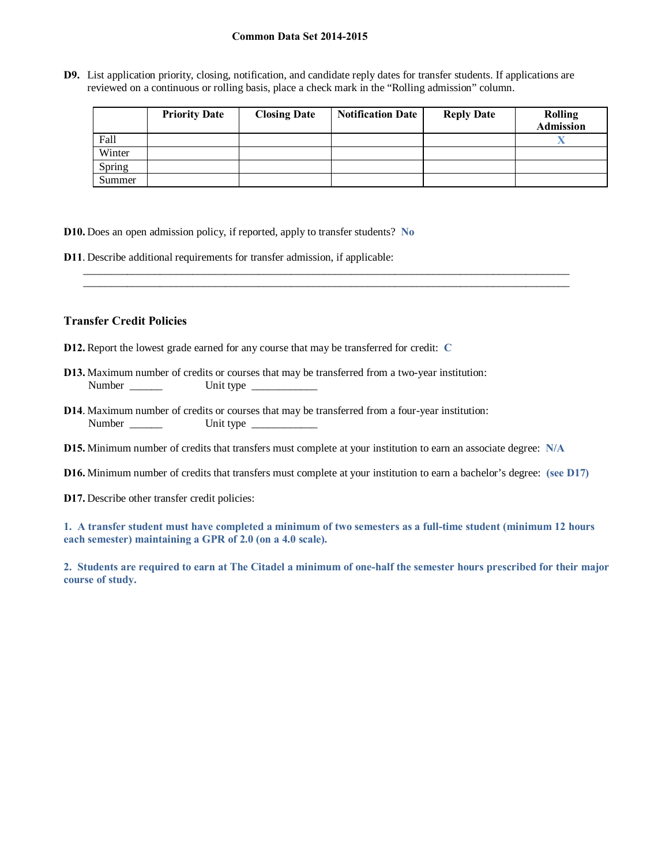**D9.** List application priority, closing, notification, and candidate reply dates for transfer students. If applications are reviewed on a continuous or rolling basis, place a check mark in the "Rolling admission" column.

|        | <b>Priority Date</b> | <b>Closing Date</b> | <b>Notification Date</b> | <b>Reply Date</b> | <b>Rolling</b><br><b>Admission</b> |
|--------|----------------------|---------------------|--------------------------|-------------------|------------------------------------|
| Fall   |                      |                     |                          |                   |                                    |
| Winter |                      |                     |                          |                   |                                    |
| Spring |                      |                     |                          |                   |                                    |
| Summer |                      |                     |                          |                   |                                    |

**D10.** Does an open admission policy, if reported, apply to transfer students? **No**

**D11**. Describe additional requirements for transfer admission, if applicable:

# **Transfer Credit Policies**

- **D12.** Report the lowest grade earned for any course that may be transferred for credit: **C**
- **D13.** Maximum number of credits or courses that may be transferred from a two-year institution: Number \_\_\_\_\_\_ Unit type \_\_\_\_\_\_\_\_\_\_\_\_
- **D14**. Maximum number of credits or courses that may be transferred from a four-year institution: Number \_\_\_\_\_\_ Unit type \_\_\_\_\_\_\_\_\_\_\_\_
- **D15.** Minimum number of credits that transfers must complete at your institution to earn an associate degree: **N/A**
- **D16.** Minimum number of credits that transfers must complete at your institution to earn a bachelor's degree: **(see D17)**

\_\_\_\_\_\_\_\_\_\_\_\_\_\_\_\_\_\_\_\_\_\_\_\_\_\_\_\_\_\_\_\_\_\_\_\_\_\_\_\_\_\_\_\_\_\_\_\_\_\_\_\_\_\_\_\_\_\_\_\_\_\_\_\_\_\_\_\_\_\_\_\_\_\_\_\_\_\_\_\_\_\_\_\_\_\_\_\_\_ \_\_\_\_\_\_\_\_\_\_\_\_\_\_\_\_\_\_\_\_\_\_\_\_\_\_\_\_\_\_\_\_\_\_\_\_\_\_\_\_\_\_\_\_\_\_\_\_\_\_\_\_\_\_\_\_\_\_\_\_\_\_\_\_\_\_\_\_\_\_\_\_\_\_\_\_\_\_\_\_\_\_\_\_\_\_\_\_\_

**D17.** Describe other transfer credit policies:

**1. A transfer student must have completed a minimum of two semesters as a full-time student (minimum 12 hours each semester) maintaining a GPR of 2.0 (on a 4.0 scale).**

**2. Students are required to earn at The Citadel a minimum of one-half the semester hours prescribed for their major course of study.**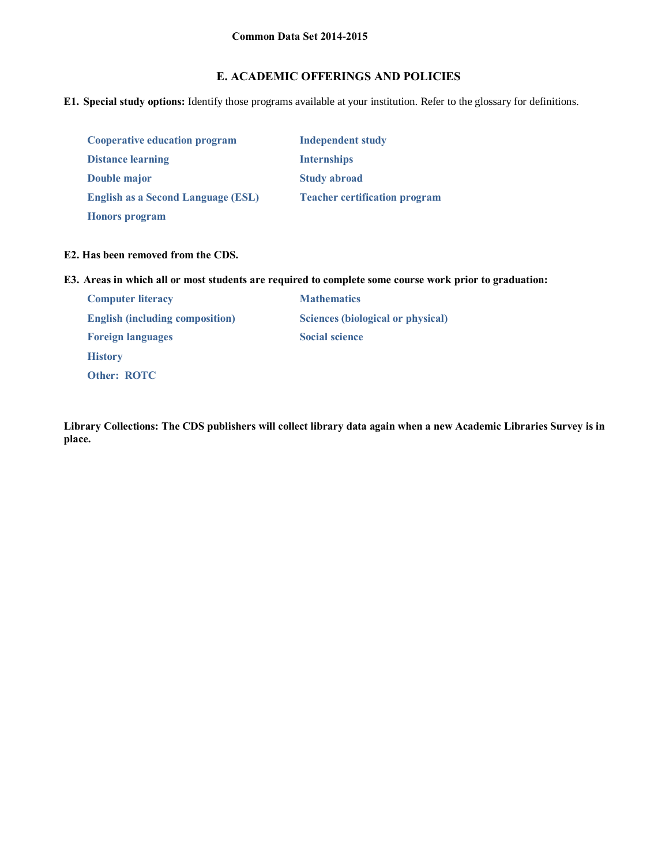# **E. ACADEMIC OFFERINGS AND POLICIES**

**E1. Special study options:** Identify those programs available at your institution. Refer to the glossary for definitions.

| <b>Cooperative education program</b>      | <b>Independent study</b>             |
|-------------------------------------------|--------------------------------------|
| <b>Distance learning</b>                  | <b>Internships</b>                   |
| Double major                              | <b>Study abroad</b>                  |
| <b>English as a Second Language (ESL)</b> | <b>Teacher certification program</b> |
| <b>Honors</b> program                     |                                      |

# **E2. Has been removed from the CDS.**

**E3. Areas in which all or most students are required to complete some course work prior to graduation:**

| <b>Computer literacy</b>               | <b>Mathematics</b>                |
|----------------------------------------|-----------------------------------|
| <b>English (including composition)</b> | Sciences (biological or physical) |
| <b>Foreign languages</b>               | <b>Social science</b>             |
| <b>History</b>                         |                                   |
| <b>Other: ROTC</b>                     |                                   |

**Library Collections: The CDS publishers will collect library data again when a new Academic Libraries Survey is in place.**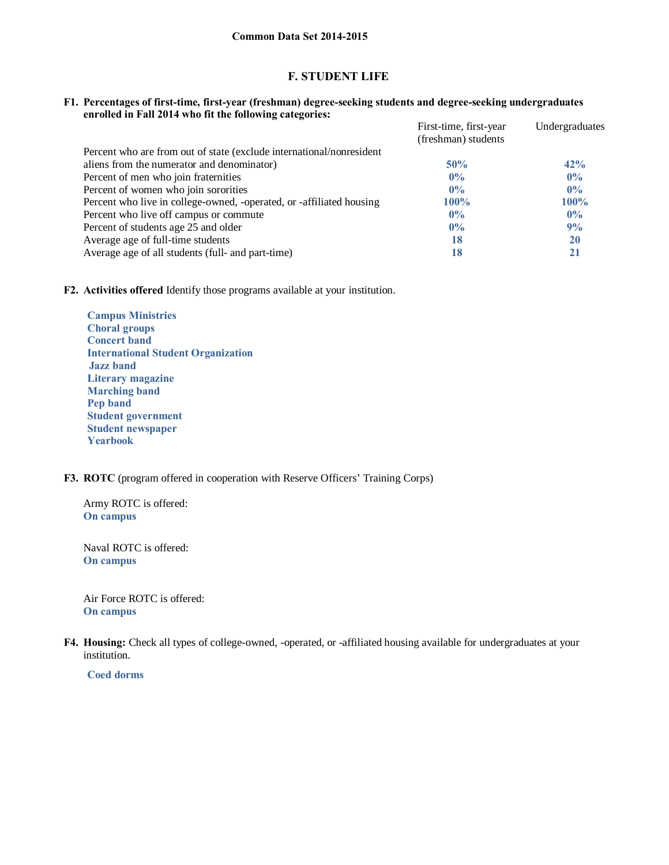# **F. STUDENT LIFE**

### **F1. Percentages of first-time, first-year (freshman) degree-seeking students and degree-seeking undergraduates enrolled in Fall 2014 who fit the following categories:**

|                                                                      | First-time, first-year<br>(freshman) students | Undergraduates |
|----------------------------------------------------------------------|-----------------------------------------------|----------------|
| Percent who are from out of state (exclude international/nonresident |                                               |                |
| aliens from the numerator and denominator)                           | 50%                                           | 42%            |
| Percent of men who join fraternities                                 | $0\%$                                         | $0\%$          |
| Percent of women who join sororities                                 | $0\%$                                         | $0\%$          |
| Percent who live in college-owned, -operated, or -affiliated housing | $100\%$                                       | $100\%$        |
| Percent who live off campus or commute                               | $0\%$                                         | $0\%$          |
| Percent of students age 25 and older                                 | $0\%$                                         | 9%             |
| Average age of full-time students                                    | 18                                            | 20             |
| Average age of all students (full- and part-time)                    | 18                                            | 21             |

**F2. Activities offered** Identify those programs available at your institution.

 **Campus Ministries Choral groups Concert band International Student Organization Jazz band Literary magazine Marching band Pep band Student government Student newspaper Yearbook**

## **F3. ROTC** (program offered in cooperation with Reserve Officers' Training Corps)

Army ROTC is offered: **On campus**

Naval ROTC is offered: **On campus**

Air Force ROTC is offered: **On campus**

**F4. Housing:** Check all types of college-owned, -operated, or -affiliated housing available for undergraduates at your institution.

 **Coed dorms**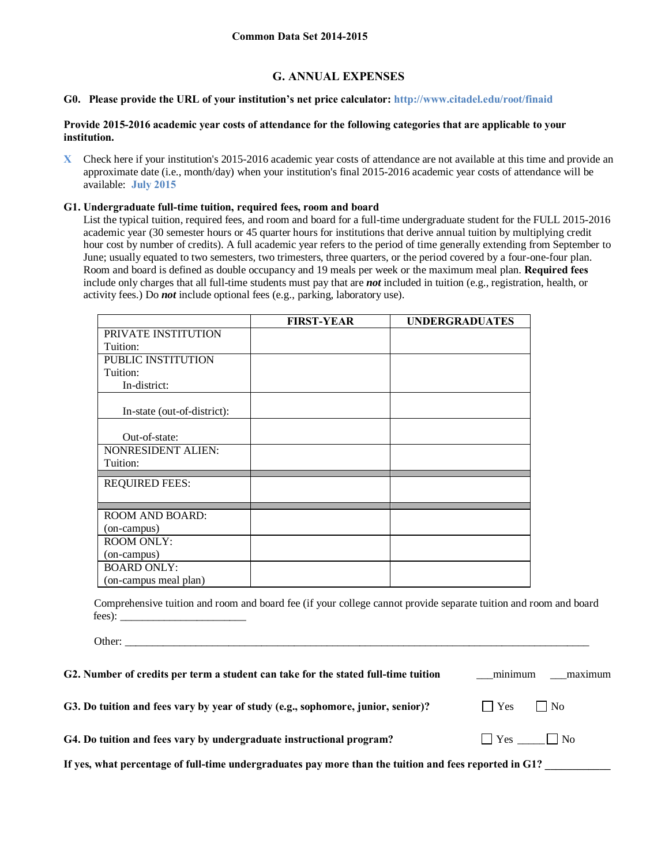# **G. ANNUAL EXPENSES**

### **G0. Please provide the URL of your institution's net price calculator: http://www.citadel.edu/root/finaid**

### **Provide 2015-2016 academic year costs of attendance for the following categories that are applicable to your institution.**

**X** Check here if your institution's 2015-2016 academic year costs of attendance are not available at this time and provide an approximate date (i.e., month/day) when your institution's final 2015-2016 academic year costs of attendance will be available: **July 2015**

### **G1. Undergraduate full-time tuition, required fees, room and board**

Other:

List the typical tuition, required fees, and room and board for a full-time undergraduate student for the FULL 2015-2016 academic year (30 semester hours or 45 quarter hours for institutions that derive annual tuition by multiplying credit hour cost by number of credits). A full academic year refers to the period of time generally extending from September to June; usually equated to two semesters, two trimesters, three quarters, or the period covered by a four-one-four plan. Room and board is defined as double occupancy and 19 meals per week or the maximum meal plan. **Required fees** include only charges that all full-time students must pay that are *not* included in tuition (e.g., registration, health, or activity fees.) Do *not* include optional fees (e.g., parking, laboratory use).

|                             | <b>FIRST-YEAR</b> | <b>UNDERGRADUATES</b> |
|-----------------------------|-------------------|-----------------------|
| PRIVATE INSTITUTION         |                   |                       |
| Tuition:                    |                   |                       |
| PUBLIC INSTITUTION          |                   |                       |
| Tuition:                    |                   |                       |
| In-district:                |                   |                       |
| In-state (out-of-district): |                   |                       |
| Out-of-state:               |                   |                       |
| <b>NONRESIDENT ALIEN:</b>   |                   |                       |
| Tuition:                    |                   |                       |
| <b>REQUIRED FEES:</b>       |                   |                       |
|                             |                   |                       |
|                             |                   |                       |
| <b>ROOM AND BOARD:</b>      |                   |                       |
| (on-campus)                 |                   |                       |
| <b>ROOM ONLY:</b>           |                   |                       |
| (on-campus)                 |                   |                       |
| <b>BOARD ONLY:</b>          |                   |                       |
| (on-campus meal plan)       |                   |                       |

Comprehensive tuition and room and board fee (if your college cannot provide separate tuition and room and board fees): \_\_\_\_\_\_\_\_\_\_\_\_\_\_\_\_\_\_\_\_\_\_\_

| G2. Number of credits per term a student can take for the stated full-time tuition                     | minimum     | maximum              |
|--------------------------------------------------------------------------------------------------------|-------------|----------------------|
| G3. Do tuition and fees vary by year of study (e.g., sophomore, junior, senior)?                       | $\vert$ Yes | $\vert$   No         |
| G4. Do tuition and fees vary by undergraduate instructional program?                                   |             | $\Box$ Yes $\Box$ No |
| If yes, what percentage of full-time undergraduates pay more than the tuition and fees reported in G1? |             |                      |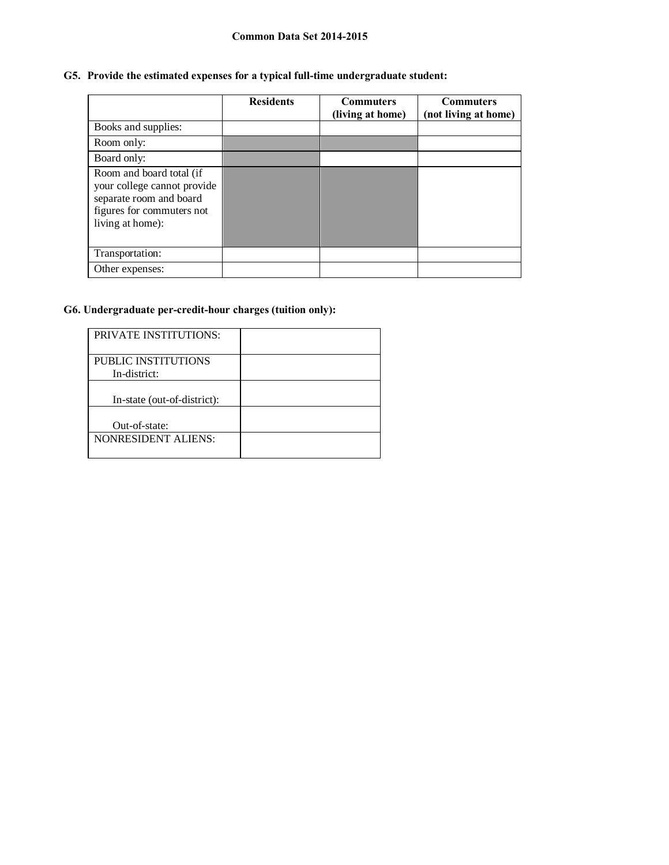# **G5. Provide the estimated expenses for a typical full-time undergraduate student:**

|                                                                                                                                     | <b>Residents</b> | <b>Commuters</b><br>(living at home) | <b>Commuters</b><br>(not living at home) |
|-------------------------------------------------------------------------------------------------------------------------------------|------------------|--------------------------------------|------------------------------------------|
| Books and supplies:                                                                                                                 |                  |                                      |                                          |
| Room only:                                                                                                                          |                  |                                      |                                          |
| Board only:                                                                                                                         |                  |                                      |                                          |
| Room and board total (if<br>your college cannot provide<br>separate room and board<br>figures for commuters not<br>living at home): |                  |                                      |                                          |
| Transportation:                                                                                                                     |                  |                                      |                                          |
| Other expenses:                                                                                                                     |                  |                                      |                                          |

# **G6. Undergraduate per-credit-hour charges (tuition only):**

| <b>PRIVATE INSTITUTIONS:</b>        |  |
|-------------------------------------|--|
| PUBLIC INSTITUTIONS<br>In-district: |  |
| In-state (out-of-district):         |  |
| Out-of-state:                       |  |
| NONRESIDENT ALIENS:                 |  |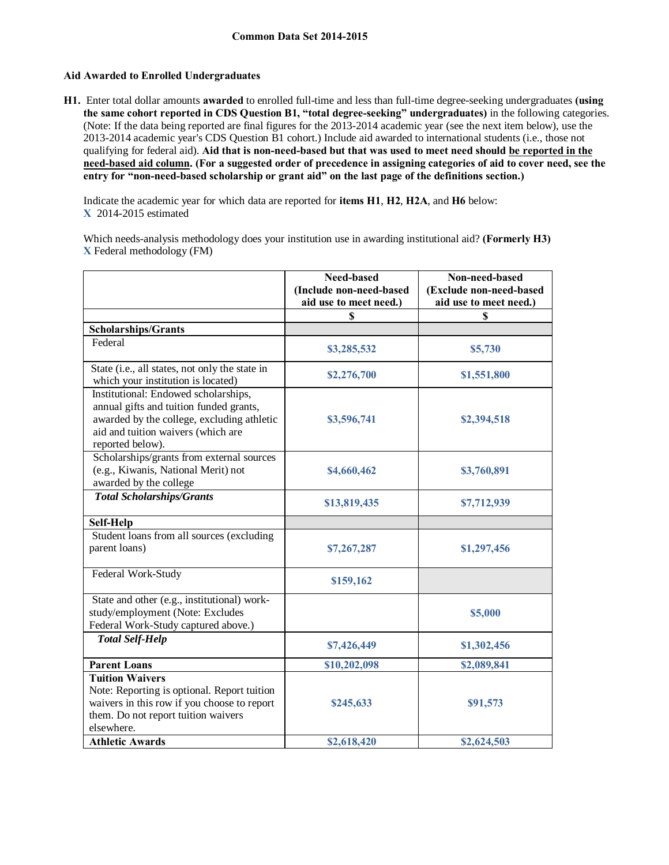### **Aid Awarded to Enrolled Undergraduates**

**H1.** Enter total dollar amounts **awarded** to enrolled full-time and less than full-time degree-seeking undergraduates **(using the same cohort reported in CDS Question B1, "total degree-seeking" undergraduates)** in the following categories. (Note: If the data being reported are final figures for the 2013-2014 academic year (see the next item below), use the 2013-2014 academic year's CDS Question B1 cohort.) Include aid awarded to international students (i.e., those not qualifying for federal aid). **Aid that is non-need-based but that was used to meet need should be reported in the need-based aid column. (For a suggested order of precedence in assigning categories of aid to cover need, see the entry for "non-need-based scholarship or grant aid" on the last page of the definitions section.)**

Indicate the academic year for which data are reported for **items H1**, **H2**, **H2A**, and **H6** below: **X** 2014-2015 estimated

Which needs-analysis methodology does your institution use in awarding institutional aid? **(Formerly H3) X** Federal methodology (FM)

|                                                                                                                                                                                         | Need-based<br>(Include non-need-based<br>aid use to meet need.) | Non-need-based<br>(Exclude non-need-based<br>aid use to meet need.) |
|-----------------------------------------------------------------------------------------------------------------------------------------------------------------------------------------|-----------------------------------------------------------------|---------------------------------------------------------------------|
|                                                                                                                                                                                         | \$                                                              |                                                                     |
| Scholarships/Grants                                                                                                                                                                     |                                                                 |                                                                     |
| Federal                                                                                                                                                                                 | \$3,285,532                                                     | \$5,730                                                             |
| State (i.e., all states, not only the state in<br>which your institution is located)                                                                                                    | \$2,276,700                                                     | \$1,551,800                                                         |
| Institutional: Endowed scholarships,<br>annual gifts and tuition funded grants,<br>awarded by the college, excluding athletic<br>aid and tuition waivers (which are<br>reported below). | \$3,596,741                                                     | \$2,394,518                                                         |
| Scholarships/grants from external sources<br>(e.g., Kiwanis, National Merit) not<br>awarded by the college                                                                              | \$4,660,462                                                     | \$3,760,891                                                         |
| <b>Total Scholarships/Grants</b>                                                                                                                                                        | \$13,819,435                                                    | \$7,712,939                                                         |
| Self-Help                                                                                                                                                                               |                                                                 |                                                                     |
| Student loans from all sources (excluding<br>parent loans)                                                                                                                              | \$7,267,287                                                     | \$1,297,456                                                         |
| Federal Work-Study                                                                                                                                                                      | \$159,162                                                       |                                                                     |
| State and other (e.g., institutional) work-<br>study/employment (Note: Excludes<br>Federal Work-Study captured above.)                                                                  |                                                                 | \$5,000                                                             |
| <b>Total Self-Help</b>                                                                                                                                                                  | \$7,426,449                                                     | \$1,302,456                                                         |
| <b>Parent Loans</b>                                                                                                                                                                     | \$10,202,098                                                    | \$2,089,841                                                         |
| <b>Tuition Waivers</b><br>Note: Reporting is optional. Report tuition<br>waivers in this row if you choose to report<br>them. Do not report tuition waivers<br>elsewhere.               | \$245,633                                                       | \$91,573                                                            |
| <b>Athletic Awards</b>                                                                                                                                                                  | \$2,618,420                                                     | \$2,624,503                                                         |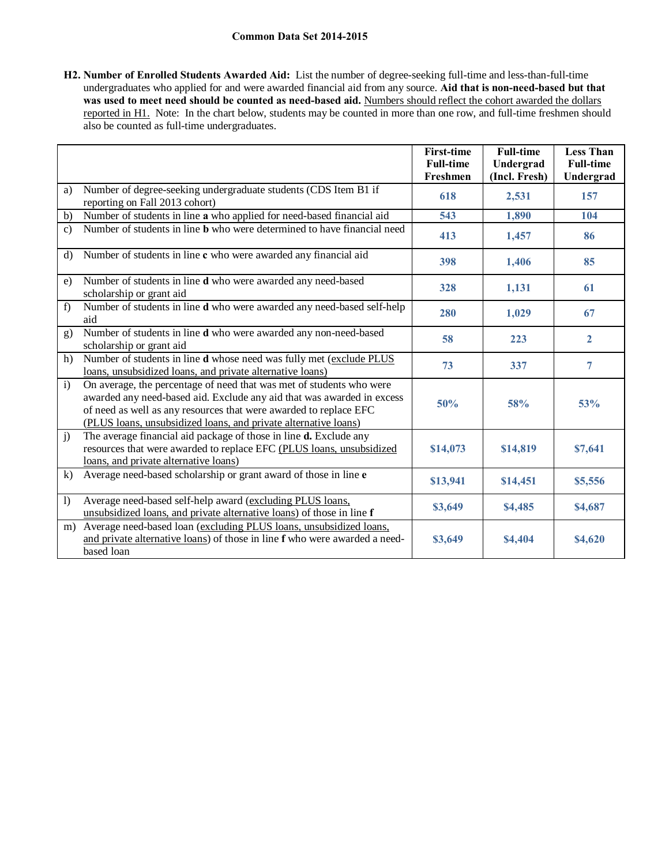**H2. Number of Enrolled Students Awarded Aid:** List the number of degree-seeking full-time and less-than-full-time undergraduates who applied for and were awarded financial aid from any source. **Aid that is non-need-based but that**  was used to meet need should be counted as need-based aid. Numbers should reflect the cohort awarded the dollars reported in H1. Note: In the chart below, students may be counted in more than one row, and full-time freshmen should also be counted as full-time undergraduates.

|                |                                                                                                                                                                                                                                                                                        | <b>First-time</b><br><b>Full-time</b><br>Freshmen | <b>Full-time</b><br>Undergrad<br>(Incl. Fresh) | <b>Less Than</b><br><b>Full-time</b><br>Undergrad |
|----------------|----------------------------------------------------------------------------------------------------------------------------------------------------------------------------------------------------------------------------------------------------------------------------------------|---------------------------------------------------|------------------------------------------------|---------------------------------------------------|
| a)             | Number of degree-seeking undergraduate students (CDS Item B1 if<br>reporting on Fall 2013 cohort)                                                                                                                                                                                      | 618                                               | 2,531                                          | 157                                               |
| $\mathbf{b}$   | Number of students in line a who applied for need-based financial aid                                                                                                                                                                                                                  | 543                                               | 1,890                                          | 104                                               |
| $\mathbf{c}$ ) | Number of students in line <b>b</b> who were determined to have financial need                                                                                                                                                                                                         | 413                                               | 1,457                                          | 86                                                |
| $\rm d$        | Number of students in line c who were awarded any financial aid                                                                                                                                                                                                                        | 398                                               | 1,406                                          | 85                                                |
| e)             | Number of students in line d who were awarded any need-based<br>scholarship or grant aid                                                                                                                                                                                               | 328                                               | 1,131                                          | 61                                                |
| f)             | Number of students in line d who were awarded any need-based self-help<br>aid                                                                                                                                                                                                          | 280                                               | 1,029                                          | 67                                                |
| g)             | Number of students in line d who were awarded any non-need-based<br>scholarship or grant aid                                                                                                                                                                                           | 58                                                | 223                                            | $\overline{2}$                                    |
| h)             | Number of students in line d whose need was fully met (exclude PLUS<br>loans, unsubsidized loans, and private alternative loans)                                                                                                                                                       | 73                                                | 337                                            | 7                                                 |
| $\mathbf{i}$   | On average, the percentage of need that was met of students who were<br>awarded any need-based aid. Exclude any aid that was awarded in excess<br>of need as well as any resources that were awarded to replace EFC<br>(PLUS loans, unsubsidized loans, and private alternative loans) | 50%                                               | 58%                                            | 53%                                               |
| $\mathbf{j}$   | The average financial aid package of those in line d. Exclude any<br>resources that were awarded to replace EFC (PLUS loans, unsubsidized<br>loans, and private alternative loans)                                                                                                     | \$14,073                                          | \$14,819                                       | \$7,641                                           |
| k)             | Average need-based scholarship or grant award of those in line e                                                                                                                                                                                                                       | \$13,941                                          | \$14,451                                       | \$5,556                                           |
| $\bf{I}$       | Average need-based self-help award (excluding PLUS loans,<br>unsubsidized loans, and private alternative loans) of those in line f                                                                                                                                                     | \$3,649                                           | \$4,485                                        | \$4,687                                           |
| m)             | Average need-based loan (excluding PLUS loans, unsubsidized loans,<br>and private alternative loans) of those in line f who were awarded a need-<br>based loan                                                                                                                         | \$3,649                                           | \$4,404                                        | \$4,620                                           |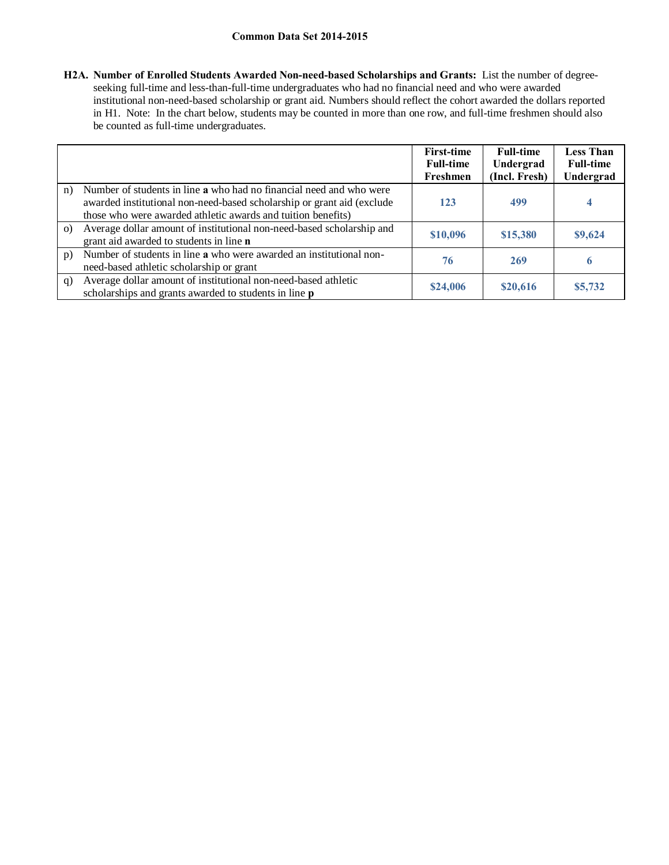**H2A. Number of Enrolled Students Awarded Non-need-based Scholarships and Grants:** List the number of degreeseeking full-time and less-than-full-time undergraduates who had no financial need and who were awarded institutional non-need-based scholarship or grant aid. Numbers should reflect the cohort awarded the dollars reported in H1. Note: In the chart below, students may be counted in more than one row, and full-time freshmen should also be counted as full-time undergraduates.

|          |                                                                                                                                                                                                               | <b>First-time</b><br><b>Full-time</b><br>Freshmen | <b>Full-time</b><br>Undergrad<br>(Incl. Fresh) | <b>Less Than</b><br><b>Full-time</b><br>Undergrad |
|----------|---------------------------------------------------------------------------------------------------------------------------------------------------------------------------------------------------------------|---------------------------------------------------|------------------------------------------------|---------------------------------------------------|
| n)       | Number of students in line a who had no financial need and who were<br>awarded institutional non-need-based scholarship or grant aid (exclude<br>those who were awarded athletic awards and tuition benefits) | 123                                               | 499                                            |                                                   |
| $\Omega$ | Average dollar amount of institutional non-need-based scholarship and<br>grant aid awarded to students in line <b>n</b>                                                                                       | \$10,096                                          | \$15,380                                       | \$9,624                                           |
| p)       | Number of students in line a who were awarded an institutional non-<br>need-based athletic scholarship or grant                                                                                               | 76                                                | 269                                            | o                                                 |
| q)       | Average dollar amount of institutional non-need-based athletic<br>scholarships and grants awarded to students in line <b>p</b>                                                                                | \$24,006                                          | \$20,616                                       | \$5,732                                           |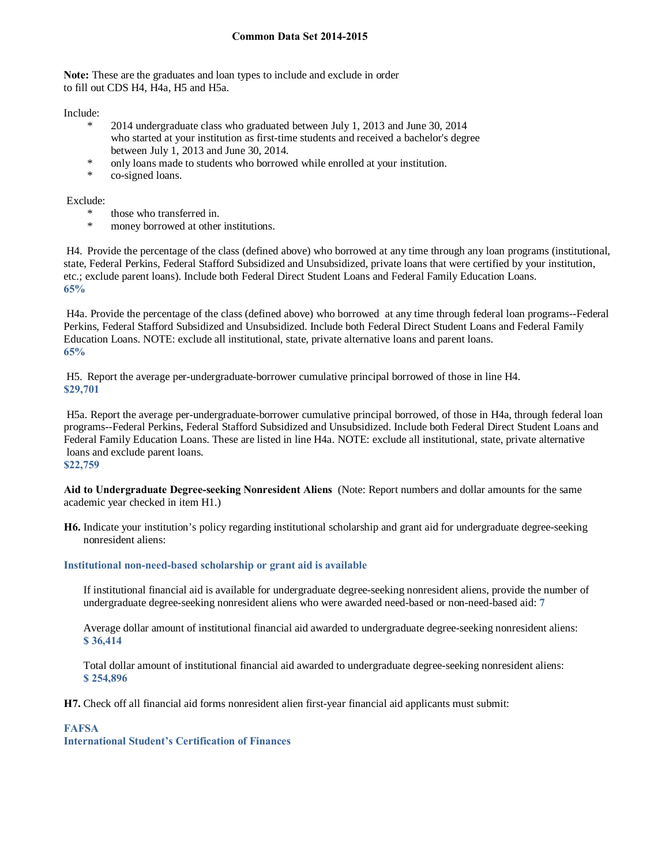**Note:** These are the graduates and loan types to include and exclude in order to fill out CDS H4, H4a, H5 and H5a.

Include:

- \* 2014 undergraduate class who graduated between July 1, 2013 and June 30, 2014 who started at your institution as first-time students and received a bachelor's degree between July 1, 2013 and June 30, 2014.
- \* only loans made to students who borrowed while enrolled at your institution.
- co-signed loans.

Exclude:

- \* those who transferred in.
- money borrowed at other institutions.

H4. Provide the percentage of the class (defined above) who borrowed at any time through any loan programs (institutional, state, Federal Perkins, Federal Stafford Subsidized and Unsubsidized, private loans that were certified by your institution, etc.; exclude parent loans). Include both Federal Direct Student Loans and Federal Family Education Loans. **65%** 

H4a. Provide the percentage of the class (defined above) who borrowed at any time through federal loan programs--Federal Perkins, Federal Stafford Subsidized and Unsubsidized. Include both Federal Direct Student Loans and Federal Family Education Loans. NOTE: exclude all institutional, state, private alternative loans and parent loans. **65%**

H5. Report the average per-undergraduate-borrower cumulative principal borrowed of those in line H4. **\$29,701**

H5a. Report the average per-undergraduate-borrower cumulative principal borrowed, of those in H4a, through federal loan programs--Federal Perkins, Federal Stafford Subsidized and Unsubsidized. Include both Federal Direct Student Loans and Federal Family Education Loans. These are listed in line H4a. NOTE: exclude all institutional, state, private alternative loans and exclude parent loans.

**\$22,759**

**Aid to Undergraduate Degree-seeking Nonresident Aliens** (Note: Report numbers and dollar amounts for the same academic year checked in item H1.)

**H6.** Indicate your institution's policy regarding institutional scholarship and grant aid for undergraduate degree-seeking nonresident aliens:

# **Institutional non-need-based scholarship or grant aid is available**

If institutional financial aid is available for undergraduate degree-seeking nonresident aliens, provide the number of undergraduate degree-seeking nonresident aliens who were awarded need-based or non-need-based aid: **7**

Average dollar amount of institutional financial aid awarded to undergraduate degree-seeking nonresident aliens: **\$ 36,414** 

Total dollar amount of institutional financial aid awarded to undergraduate degree-seeking nonresident aliens: **\$ 254,896** 

**H7.** Check off all financial aid forms nonresident alien first-year financial aid applicants must submit:

## **FAFSA**

**International Student's Certification of Finances**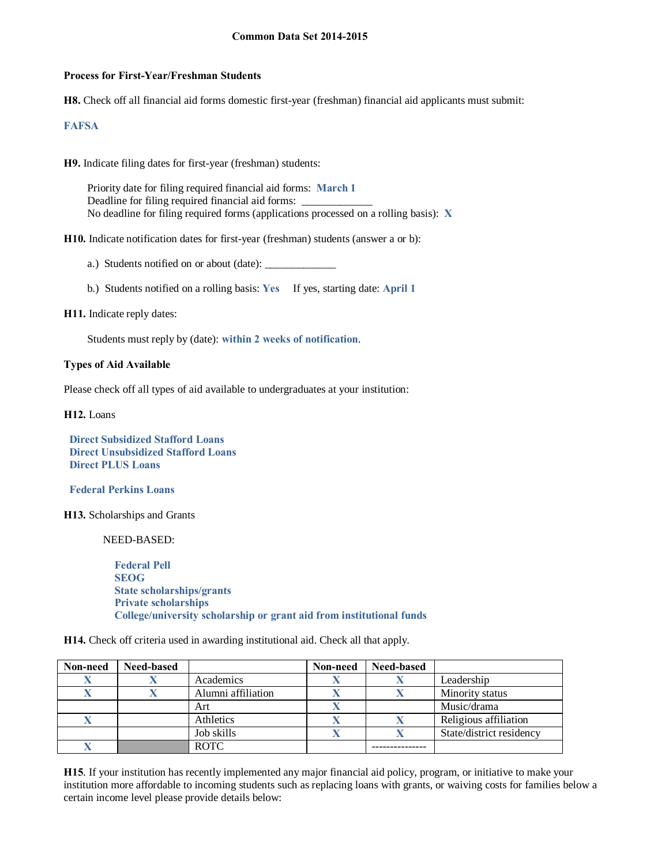### **Process for First-Year/Freshman Students**

**H8.** Check off all financial aid forms domestic first-year (freshman) financial aid applicants must submit:

### **FAFSA**

**H9.** Indicate filing dates for first-year (freshman) students:

Priority date for filing required financial aid forms: **March 1** Deadline for filing required financial aid forms: No deadline for filing required forms (applications processed on a rolling basis): **X**

**H10.** Indicate notification dates for first-year (freshman) students (answer a or b):

a.) Students notified on or about (date):

b.) Students notified on a rolling basis: **Yes** If yes, starting date: **April 1**

### **H11.** Indicate reply dates:

Students must reply by (date): **within 2 weeks of notification**.

### **Types of Aid Available**

Please check off all types of aid available to undergraduates at your institution:

**H12.** Loans

 **Direct Subsidized Stafford Loans Direct Unsubsidized Stafford Loans Direct PLUS Loans**

 **Federal Perkins Loans**

**H13.** Scholarships and Grants

NEED-BASED:

 **Federal Pell SEOG State scholarships/grants Private scholarships College/university scholarship or grant aid from institutional funds**

**H14.** Check off criteria used in awarding institutional aid. Check all that apply.

| Non-need | Need-based |                    | Non-need | Need-based |                          |
|----------|------------|--------------------|----------|------------|--------------------------|
|          |            | Academics          |          |            | Leadership               |
|          |            | Alumni affiliation |          |            | Minority status          |
|          |            | Art                |          |            | Music/drama              |
|          |            | Athletics          |          |            | Religious affiliation    |
|          |            | Job skills         |          |            | State/district residency |
|          |            | <b>ROTC</b>        |          |            |                          |

**H15**. If your institution has recently implemented any major financial aid policy, program, or initiative to make your institution more affordable to incoming students such as replacing loans with grants, or waiving costs for families below a certain income level please provide details below: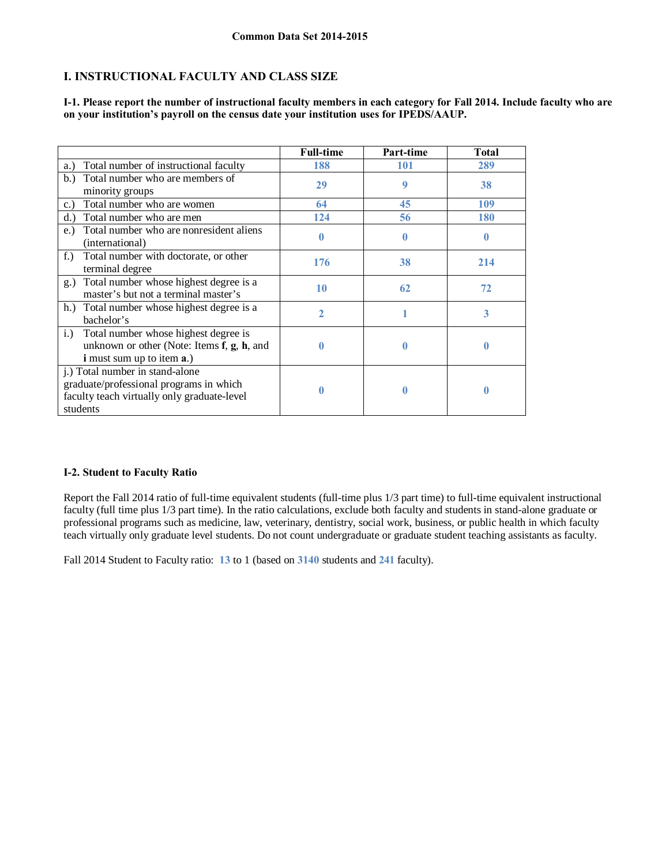# **I. INSTRUCTIONAL FACULTY AND CLASS SIZE**

|                                                                                                                                       | <b>Full-time</b> | Part-time    | Total      |
|---------------------------------------------------------------------------------------------------------------------------------------|------------------|--------------|------------|
| Total number of instructional faculty<br>a.)                                                                                          | 188              | 101          | 289        |
| Total number who are members of<br>b.<br>minority groups                                                                              | 29               | 9            | 38         |
| Total number who are women<br>c.                                                                                                      | 64               | 45           | <b>109</b> |
| Total number who are men<br>d.                                                                                                        | 124              | 56           | <b>180</b> |
| Total number who are nonresident aliens<br>e.)<br>(international)                                                                     | 0                | $\mathbf{0}$ | 0          |
| $f_{\cdot}$ )<br>Total number with doctorate, or other<br>terminal degree                                                             | 176              | 38           | 214        |
| Total number whose highest degree is a<br>g.)<br>master's but not a terminal master's                                                 | 10               | 62           | 72         |
| h.<br>Total number whose highest degree is a<br>bachelor's                                                                            | 2                |              | 3          |
| Total number whose highest degree is<br>i.)<br>unknown or other (Note: Items $f$ , $g$ , $h$ , and<br>i must sum up to item a.)       | U                | 0            |            |
| j.) Total number in stand-alone<br>graduate/professional programs in which<br>faculty teach virtually only graduate-level<br>students |                  | 0            | 0          |

**I-1. Please report the number of instructional faculty members in each category for Fall 2014. Include faculty who are on your institution's payroll on the census date your institution uses for IPEDS/AAUP.**

## **I-2. Student to Faculty Ratio**

Report the Fall 2014 ratio of full-time equivalent students (full-time plus 1/3 part time) to full-time equivalent instructional faculty (full time plus 1/3 part time). In the ratio calculations, exclude both faculty and students in stand-alone graduate or professional programs such as medicine, law, veterinary, dentistry, social work, business, or public health in which faculty teach virtually only graduate level students. Do not count undergraduate or graduate student teaching assistants as faculty.

Fall 2014 Student to Faculty ratio: **13** to 1 (based on **3140** students and **241** faculty).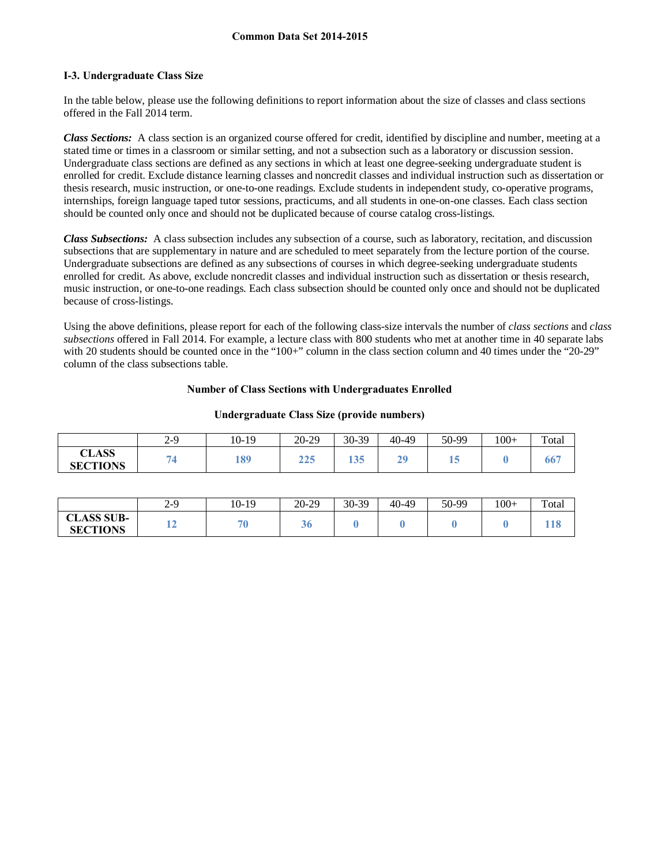## **I-3. Undergraduate Class Size**

In the table below, please use the following definitions to report information about the size of classes and class sections offered in the Fall 2014 term.

*Class Sections:* A class section is an organized course offered for credit, identified by discipline and number, meeting at a stated time or times in a classroom or similar setting, and not a subsection such as a laboratory or discussion session. Undergraduate class sections are defined as any sections in which at least one degree-seeking undergraduate student is enrolled for credit. Exclude distance learning classes and noncredit classes and individual instruction such as dissertation or thesis research, music instruction, or one-to-one readings. Exclude students in independent study, co-operative programs, internships, foreign language taped tutor sessions, practicums, and all students in one-on-one classes. Each class section should be counted only once and should not be duplicated because of course catalog cross-listings.

*Class Subsections:* A class subsection includes any subsection of a course, such as laboratory, recitation, and discussion subsections that are supplementary in nature and are scheduled to meet separately from the lecture portion of the course. Undergraduate subsections are defined as any subsections of courses in which degree-seeking undergraduate students enrolled for credit. As above, exclude noncredit classes and individual instruction such as dissertation or thesis research, music instruction, or one-to-one readings. Each class subsection should be counted only once and should not be duplicated because of cross-listings.

Using the above definitions, please report for each of the following class-size intervals the number of *class sections* and *class subsections* offered in Fall 2014. For example, a lecture class with 800 students who met at another time in 40 separate labs with 20 students should be counted once in the "100+" column in the class section column and 40 times under the "20-29" column of the class subsections table.

### **Number of Class Sections with Undergraduates Enrolled**

|                                 | $2 - 9$ | $10-19$ | 20-29      | 30-39 | 40-49    | 50-99 | $100+$ | Total |
|---------------------------------|---------|---------|------------|-------|----------|-------|--------|-------|
| <b>CLASS</b><br><b>SECTIONS</b> |         | 189     | 225<br>449 | 135   | 20<br>∸. | -     |        | , טט  |

#### **Undergraduate Class Size (provide numbers)**

|                                                  | $2-9$ | 10-19 | $20-29$ | 30-39 | 40-49 | 50-99 | $100 +$ | Total |
|--------------------------------------------------|-------|-------|---------|-------|-------|-------|---------|-------|
| <b>CLASS SUB-</b><br>$\cap$ T<br><b>SECTIONS</b> | ▪     | Ξc    | აი      |       |       |       |         | 118   |